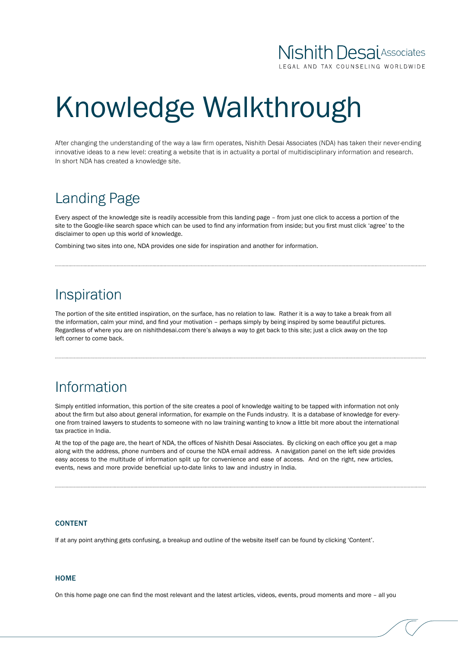## **Nishith Desai** Associates

AL AND TAX COUNSELING WORLDWIDE

# Knowledge Walkthrough

After changing the understanding of the way a law firm operates, Nishith Desai Associates (NDA) has taken their never-ending innovative ideas to a new level: creating a website that is in actuality a portal of multidisciplinary information and research. In short NDA has created a knowledge site.

## Landing Page

Every aspect of the knowledge site is readily accessible from this landing page – from just one click to access a portion of the site to the Google-like search space which can be used to find any information from inside; but you first must click 'agree' to the disclaimer to open up this world of knowledge.

Combining two sites into one, NDA provides one side for inspiration and another for information.

### Inspiration

The portion of the site entitled inspiration, on the surface, has no relation to law. Rather it is a way to take a break from all the information, calm your mind, and find your motivation – perhaps simply by being inspired by some beautiful pictures. Regardless of where you are on nishithdesai.com there's always a way to get back to this site; just a click away on the top left corner to come back.

## Information

Simply entitled information, this portion of the site creates a pool of knowledge waiting to be tapped with information not only about the firm but also about general information, for example on the Funds industry. It is a database of knowledge for everyone from trained lawyers to students to someone with no law training wanting to know a little bit more about the international tax practice in India.

At the top of the page are, the heart of NDA, the offices of Nishith Desai Associates. By clicking on each office you get a map along with the address, phone numbers and of course the NDA email address. A navigation panel on the left side provides easy access to the multitude of information split up for convenience and ease of access. And on the right, new articles, events, news and more provide beneficial up-to-date links to law and industry in India.

#### **CONTENT**

If at any point anything gets confusing, a breakup and outline of the website itself can be found by clicking 'Content'.

#### **HOME**

On this home page one can find the most relevant and the latest articles, videos, events, proud moments and more – all you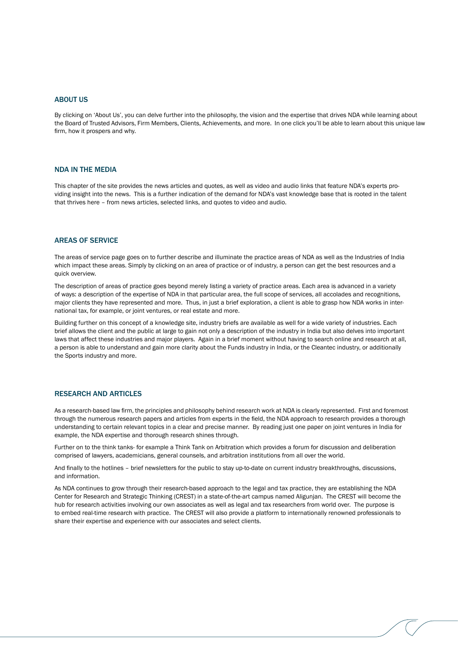#### ABOUT US

By clicking on 'About Us', you can delve further into the philosophy, the vision and the expertise that drives NDA while learning about the Board of Trusted Advisors, Firm Members, Clients, Achievements, and more. In one click you'll be able to learn about this unique law firm, how it prospers and why.

#### NDA in the Media

This chapter of the site provides the news articles and quotes, as well as video and audio links that feature NDA's experts providing insight into the news. This is a further indication of the demand for NDA's vast knowledge base that is rooted in the talent that thrives here – from news articles, selected links, and quotes to video and audio.

#### Areas of Service

The areas of service page goes on to further describe and illuminate the practice areas of NDA as well as the Industries of India which impact these areas. Simply by clicking on an area of practice or of industry, a person can get the best resources and a quick overview.

The description of areas of practice goes beyond merely listing a variety of practice areas. Each area is advanced in a variety of ways: a description of the expertise of NDA in that particular area, the full scope of services, all accolades and recognitions, major clients they have represented and more. Thus, in just a brief exploration, a client is able to grasp how NDA works in international tax, for example, or joint ventures, or real estate and more.

Building further on this concept of a knowledge site, industry briefs are available as well for a wide variety of industries. Each brief allows the client and the public at large to gain not only a description of the industry in India but also delves into important laws that affect these industries and major players. Again in a brief moment without having to search online and research at all, a person is able to understand and gain more clarity about the Funds industry in India, or the Cleantec industry, or additionally the Sports industry and more.

#### RESEARCH AND ARTICLES

As a research-based law firm, the principles and philosophy behind research work at NDA is clearly represented. First and foremost through the numerous research papers and articles from experts in the field, the NDA approach to research provides a thorough understanding to certain relevant topics in a clear and precise manner. By reading just one paper on joint ventures in India for example, the NDA expertise and thorough research shines through.

Further on to the think tanks- for example a Think Tank on Arbitration which provides a forum for discussion and deliberation comprised of lawyers, academicians, general counsels, and arbitration institutions from all over the world.

And finally to the hotlines – brief newsletters for the public to stay up-to-date on current industry breakthroughs, discussions, and information.

As NDA continues to grow through their research-based approach to the legal and tax practice, they are establishing the NDA Center for Research and Strategic Thinking (CREST) in a state-of-the-art campus named Aligunjan. The CREST will become the hub for research activities involving our own associates as well as legal and tax researchers from world over. The purpose is to embed real-time research with practice. The CREST will also provide a platform to internationally renowned professionals to share their expertise and experience with our associates and select clients.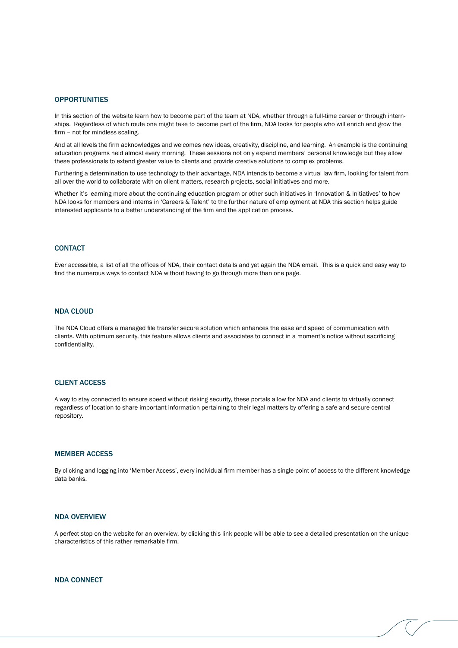#### **OPPORTUNITIES**

In this section of the website learn how to become part of the team at NDA, whether through a full-time career or through internships. Regardless of which route one might take to become part of the firm, NDA looks for people who will enrich and grow the firm – not for mindless scaling.

And at all levels the firm acknowledges and welcomes new ideas, creativity, discipline, and learning. An example is the continuing education programs held almost every morning. These sessions not only expand members' personal knowledge but they allow these professionals to extend greater value to clients and provide creative solutions to complex problems.

Furthering a determination to use technology to their advantage, NDA intends to become a virtual law firm, looking for talent from all over the world to collaborate with on client matters, research projects, social initiatives and more.

Whether it's learning more about the continuing education program or other such initiatives in 'Innovation & Initiatives' to how NDA looks for members and interns in 'Careers & Talent' to the further nature of employment at NDA this section helps guide interested applicants to a better understanding of the firm and the application process.

#### **CONTACT**

Ever accessible, a list of all the offices of NDA, their contact details and yet again the NDA email. This is a quick and easy way to find the numerous ways to contact NDA without having to go through more than one page.

#### NDA Cloud

The NDA Cloud offers a managed file transfer secure solution which enhances the ease and speed of communication with clients. With optimum security, this feature allows clients and associates to connect in a moment's notice without sacrificing confidentiality.

#### Client Access

A way to stay connected to ensure speed without risking security, these portals allow for NDA and clients to virtually connect regardless of location to share important information pertaining to their legal matters by offering a safe and secure central repository.

#### Member Access

By clicking and logging into 'Member Access', every individual firm member has a single point of access to the different knowledge data banks.

#### NDA Overview

A perfect stop on the website for an overview, by clicking this link people will be able to see a detailed presentation on the unique characteristics of this rather remarkable firm.

#### NDA Connect